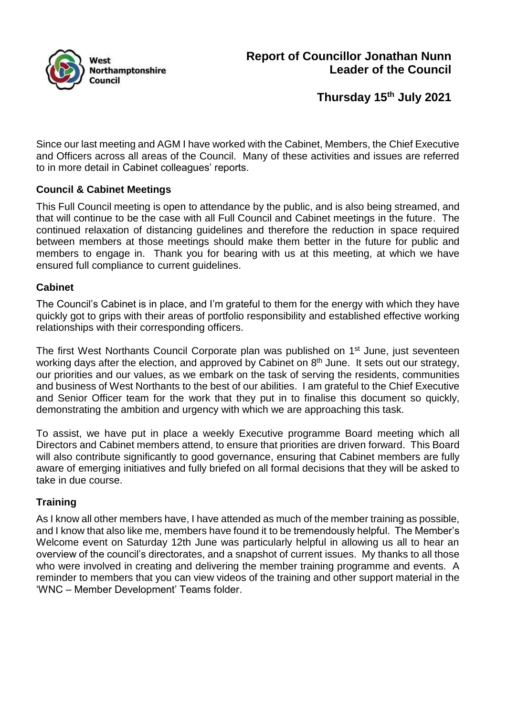

**Thursday 15th July 2021**

Since our last meeting and AGM I have worked with the Cabinet, Members, the Chief Executive and Officers across all areas of the Council. Many of these activities and issues are referred to in more detail in Cabinet colleagues' reports.

# **Council & Cabinet Meetings**

This Full Council meeting is open to attendance by the public, and is also being streamed, and that will continue to be the case with all Full Council and Cabinet meetings in the future. The continued relaxation of distancing guidelines and therefore the reduction in space required between members at those meetings should make them better in the future for public and members to engage in. Thank you for bearing with us at this meeting, at which we have ensured full compliance to current guidelines.

### **Cabinet**

The Council's Cabinet is in place, and I'm grateful to them for the energy with which they have quickly got to grips with their areas of portfolio responsibility and established effective working relationships with their corresponding officers.

The first West Northants Council Corporate plan was published on 1<sup>st</sup> June, just seventeen working days after the election, and approved by Cabinet on 8<sup>th</sup> June. It sets out our strategy, our priorities and our values, as we embark on the task of serving the residents, communities and business of West Northants to the best of our abilities. I am grateful to the Chief Executive and Senior Officer team for the work that they put in to finalise this document so quickly, demonstrating the ambition and urgency with which we are approaching this task.

To assist, we have put in place a weekly Executive programme Board meeting which all Directors and Cabinet members attend, to ensure that priorities are driven forward. This Board will also contribute significantly to good governance, ensuring that Cabinet members are fully aware of emerging initiatives and fully briefed on all formal decisions that they will be asked to take in due course.

### **Training**

As I know all other members have, I have attended as much of the member training as possible, and I know that also like me, members have found it to be tremendously helpful. The Member's Welcome event on Saturday 12th June was particularly helpful in allowing us all to hear an overview of the council's directorates, and a snapshot of current issues. My thanks to all those who were involved in creating and delivering the member training programme and events. A reminder to members that you can view videos of the training and other support material in the 'WNC – Member Development' Teams folder.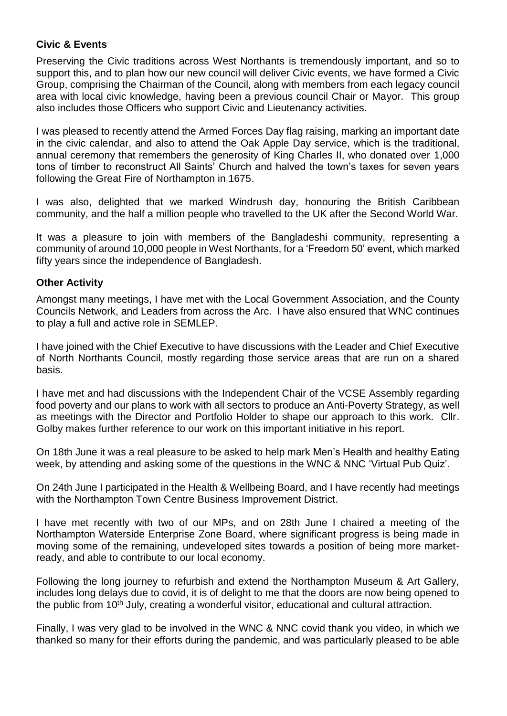# **Civic & Events**

Preserving the Civic traditions across West Northants is tremendously important, and so to support this, and to plan how our new council will deliver Civic events, we have formed a Civic Group, comprising the Chairman of the Council, along with members from each legacy council area with local civic knowledge, having been a previous council Chair or Mayor. This group also includes those Officers who support Civic and Lieutenancy activities.

I was pleased to recently attend the Armed Forces Day flag raising, marking an important date in the civic calendar, and also to attend the Oak Apple Day service, which is the traditional, annual ceremony that remembers the generosity of King Charles II, who donated over 1,000 tons of timber to reconstruct All Saints' Church and halved the town's taxes for seven years following the Great Fire of Northampton in 1675.

I was also, delighted that we marked Windrush day, honouring the British Caribbean community, and the half a million people who travelled to the UK after the Second World War.

It was a pleasure to join with members of the Bangladeshi community, representing a community of around 10,000 people in West Northants, for a 'Freedom 50' event, which marked fifty years since the independence of Bangladesh.

# **Other Activity**

Amongst many meetings, I have met with the Local Government Association, and the County Councils Network, and Leaders from across the Arc. I have also ensured that WNC continues to play a full and active role in SEMLEP.

I have joined with the Chief Executive to have discussions with the Leader and Chief Executive of North Northants Council, mostly regarding those service areas that are run on a shared basis.

I have met and had discussions with the Independent Chair of the VCSE Assembly regarding food poverty and our plans to work with all sectors to produce an Anti-Poverty Strategy, as well as meetings with the Director and Portfolio Holder to shape our approach to this work. Cllr. Golby makes further reference to our work on this important initiative in his report.

On 18th June it was a real pleasure to be asked to help mark Men's Health and healthy Eating week, by attending and asking some of the questions in the WNC & NNC 'Virtual Pub Quiz'.

On 24th June I participated in the Health & Wellbeing Board, and I have recently had meetings with the Northampton Town Centre Business Improvement District.

I have met recently with two of our MPs, and on 28th June I chaired a meeting of the Northampton Waterside Enterprise Zone Board, where significant progress is being made in moving some of the remaining, undeveloped sites towards a position of being more marketready, and able to contribute to our local economy.

Following the long journey to refurbish and extend the Northampton Museum & Art Gallery, includes long delays due to covid, it is of delight to me that the doors are now being opened to the public from 10<sup>th</sup> July, creating a wonderful visitor, educational and cultural attraction.

Finally, I was very glad to be involved in the WNC & NNC covid thank you video, in which we thanked so many for their efforts during the pandemic, and was particularly pleased to be able